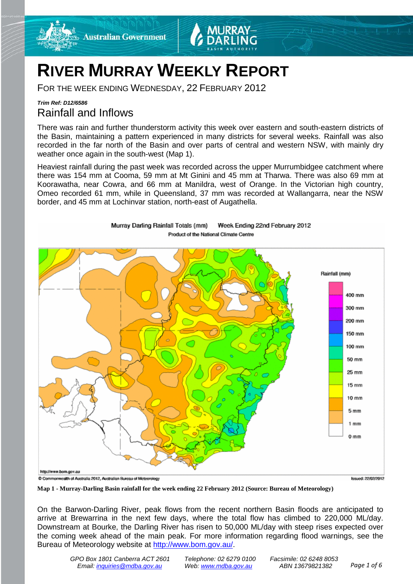

# **RIVER MURRAY WEEKLY REPORT**

Murray Darling Rainfall Totals (mm)

FOR THE WEEK ENDING WEDNESDAY, 22 FEBRUARY 2012

## *Trim Ref: D12/6586* Rainfall and Inflows

There was rain and further thunderstorm activity this week over eastern and south-eastern districts of the Basin, maintaining a pattern experienced in many districts for several weeks. Rainfall was also recorded in the far north of the Basin and over parts of central and western NSW, with mainly dry weather once again in the south-west (Map 1).

Heaviest rainfall during the past week was recorded across the upper Murrumbidgee catchment where there was 154 mm at Cooma, 59 mm at Mt Ginini and 45 mm at Tharwa. There was also 69 mm at Koorawatha, near Cowra, and 66 mm at Manildra, west of Orange. In the Victorian high country, Omeo recorded 61 mm, while in Queensland, 37 mm was recorded at Wallangarra, near the NSW border, and 45 mm at Lochinvar station, north-east of Augathella.

Week Ending 22nd February 2012



**Map 1 - Murray-Darling Basin rainfall for the week ending 22 February 2012 (Source: Bureau of Meteorology)**

On the Barwon-Darling River, peak flows from the recent northern Basin floods are anticipated to arrive at Brewarrina in the next few days, where the total flow has climbed to 220,000 ML/day. Downstream at Bourke, the Darling River has risen to 50,000 ML/day with steep rises expected over the coming week ahead of the main peak. For more information regarding flood warnings, see the Bureau of Meteorology website at [http://www.bom.gov.au/.](http://www.bom.gov.au/)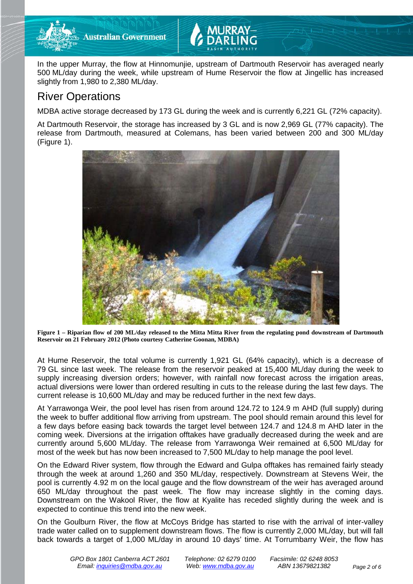

**Australian Government** 

In the upper Murray, the flow at Hinnomunjie, upstream of Dartmouth Reservoir has averaged nearly 500 ML/day during the week, while upstream of Hume Reservoir the flow at Jingellic has increased slightly from 1,980 to 2,380 ML/day.

# River Operations

MDBA active storage decreased by 173 GL during the week and is currently 6,221 GL (72% capacity).

At Dartmouth Reservoir, the storage has increased by 3 GL and is now 2,969 GL (77% capacity). The release from Dartmouth, measured at Colemans, has been varied between 200 and 300 ML/day (Figure 1).



**Figure 1 – Riparian flow of 200 ML/day released to the Mitta Mitta River from the regulating pond downstream of Dartmouth Reservoir on 21 February 2012 (Photo courtesy Catherine Goonan, MDBA)**

At Hume Reservoir, the total volume is currently 1,921 GL (64% capacity), which is a decrease of 79 GL since last week. The release from the reservoir peaked at 15,400 ML/day during the week to supply increasing diversion orders; however, with rainfall now forecast across the irrigation areas, actual diversions were lower than ordered resulting in cuts to the release during the last few days. The current release is 10,600 ML/day and may be reduced further in the next few days.

At Yarrawonga Weir, the pool level has risen from around 124.72 to 124.9 m AHD (full supply) during the week to buffer additional flow arriving from upstream. The pool should remain around this level for a few days before easing back towards the target level between 124.7 and 124.8 m AHD later in the coming week. Diversions at the irrigation offtakes have gradually decreased during the week and are currently around 5,600 ML/day. The release from Yarrawonga Weir remained at 6,500 ML/day for most of the week but has now been increased to 7,500 ML/day to help manage the pool level.

On the Edward River system, flow through the Edward and Gulpa offtakes has remained fairly steady through the week at around 1,260 and 350 ML/day, respectively. Downstream at Stevens Weir, the pool is currently 4.92 m on the local gauge and the flow downstream of the weir has averaged around 650 ML/day throughout the past week. The flow may increase slightly in the coming days. Downstream on the Wakool River, the flow at Kyalite has receded slightly during the week and is expected to continue this trend into the new week.

On the Goulburn River, the flow at McCoys Bridge has started to rise with the arrival of inter-valley trade water called on to supplement downstream flows. The flow is currently 2,000 ML/day, but will fall back towards a target of 1,000 ML/day in around 10 days' time. At Torrumbarry Weir, the flow has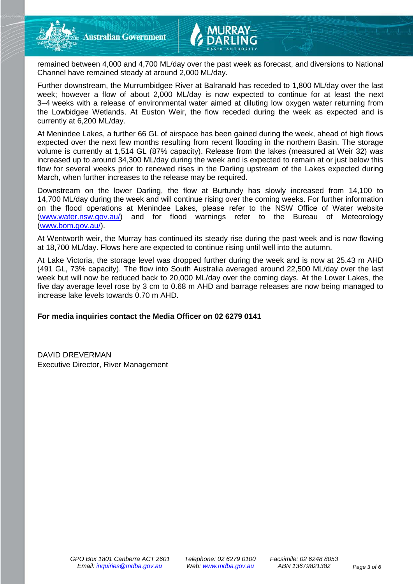

remained between 4,000 and 4,700 ML/day over the past week as forecast, and diversions to National Channel have remained steady at around 2,000 ML/day.

Further downstream, the Murrumbidgee River at Balranald has receded to 1,800 ML/day over the last week; however a flow of about 2,000 ML/day is now expected to continue for at least the next 3–4 weeks with a release of environmental water aimed at diluting low oxygen water returning from the Lowbidgee Wetlands. At Euston Weir, the flow receded during the week as expected and is currently at 6,200 ML/day.

At Menindee Lakes, a further 66 GL of airspace has been gained during the week, ahead of high flows expected over the next few months resulting from recent flooding in the northern Basin. The storage volume is currently at 1,514 GL (87% capacity). Release from the lakes (measured at Weir 32) was increased up to around 34,300 ML/day during the week and is expected to remain at or just below this flow for several weeks prior to renewed rises in the Darling upstream of the Lakes expected during March, when further increases to the release may be required.

Downstream on the lower Darling, the flow at Burtundy has slowly increased from 14,100 to 14,700 ML/day during the week and will continue rising over the coming weeks. For further information on the flood operations at Menindee Lakes, please refer to the NSW Office of Water website (www.water.nsw.gov.au/) and for flood warnings refer to the Bureau of Meteorology (www.bom.gov.au/).

At Wentworth weir, the Murray has continued its steady rise during the past week and is now flowing at 18,700 ML/day. Flows here are expected to continue rising until well into the autumn.

At Lake Victoria, the storage level was dropped further during the week and is now at 25.43 m AHD (491 GL, 73% capacity). The flow into South Australia averaged around 22,500 ML/day over the last week but will now be reduced back to 20,000 ML/day over the coming days. At the Lower Lakes, the five day average level rose by 3 cm to 0.68 m AHD and barrage releases are now being managed to increase lake levels towards 0.70 m AHD.

#### **For media inquiries contact the Media Officer on 02 6279 0141**

DAVID DREVERMAN Executive Director, River Management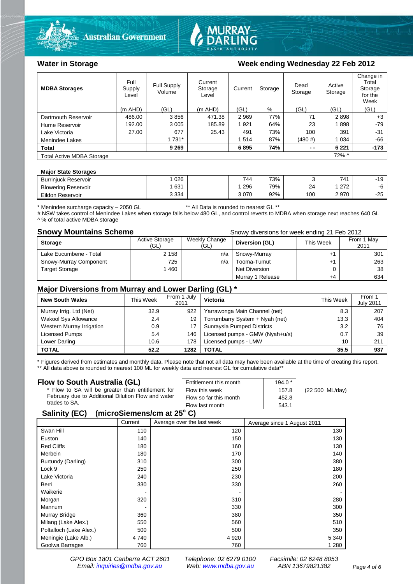



### Water in Storage Week ending Wednesday 22 Feb 2012

| <b>MDBA Storages</b>             | Full<br>Supply<br>Level | Full Supply<br>Volume | Current<br>Storage<br>Level | Current | Storage | Dead<br>Storage | Active<br>Storage | Change in<br>Total<br>Storage<br>for the<br>Week |
|----------------------------------|-------------------------|-----------------------|-----------------------------|---------|---------|-----------------|-------------------|--------------------------------------------------|
|                                  | $(m$ AHD)               | (GL)                  | $(m$ AHD)                   | (GL)    | %       | (GL)            | (GL)              | (GL)                                             |
| Dartmouth Reservoir              | 486.00                  | 3856                  | 471.38                      | 2969    | 77%     | 71              | 2898              | $+3$                                             |
| Hume Reservoir                   | 192.00                  | 3 0 0 5               | 185.89                      | 1921    | 64%     | 23              | 1898              | $-79$                                            |
| Lake Victoria                    | 27.00                   | 677                   | 25.43                       | 491     | 73%     | 100             | 391               | $-31$                                            |
| Menindee Lakes                   |                         | 1 7 3 1 *             |                             | 1514    | 87%     | (480#)          | 1 0 3 4           | $-66$                                            |
| <b>Total</b>                     |                         | 9 2 6 9               |                             | 6895    | 74%     | $ -$            | 6 2 2 1           | $-173$                                           |
| <b>Total Active MDBA Storage</b> |                         |                       |                             |         |         |                 | $72\%$ ^          |                                                  |

#### **Major State Storages**

| <b>Burriniuck Reservoir</b> | 026     | 744  | 73% |     | 741        | $-19$ |
|-----------------------------|---------|------|-----|-----|------------|-------|
| <b>Blowering Reservoir</b>  | 631     | 296  | 79% | 24  | 270<br>ے ا | -0    |
| Eildon<br>r Reservoir       | 3 3 3 4 | 3070 | 92% | 100 | 2970       | $-25$ |

\* Menindee surcharge capacity – 2050 GL \*\* All Data is rounded to nearest GL \*\*

# NSW takes control of Menindee Lakes when storage falls below 480 GL, and control reverts to MDBA when storage next reaches 640 GL ^ % of total active MDBA storage

**Snowy Mountains Scheme Snowy diversions for week ending 21 Feb 2012** 

| <b>Storage</b>         | <b>Active Storage</b><br>(GL) | Weekly Change<br>(GL) | Diversion (GL)   | This Week | From 1 May<br>2011 |
|------------------------|-------------------------------|-----------------------|------------------|-----------|--------------------|
| Lake Eucumbene - Total | 2 1 5 8                       | n/a                   | Snowy-Murray     |           | 301                |
| Snowy-Murray Component | 725                           | n/a                   | Tooma-Tumut      |           | 263                |
| <b>Target Storage</b>  | 1460                          |                       | Net Diversion    |           | 38                 |
|                        |                               |                       | Murray 1 Release | +4        | 634                |

### **Major Diversions from Murray and Lower Darling (GL) \***

| <b>New South Wales</b>    | This Week | From 1 July<br>2011 | <b>Victoria</b>                 | This Week | From 1<br><b>July 2011</b> |
|---------------------------|-----------|---------------------|---------------------------------|-----------|----------------------------|
| Murray Irrig. Ltd (Net)   | 32.9      | 922                 | Yarrawonga Main Channel (net)   | 8.3       | 207                        |
| Wakool Sys Allowance      | 2.4       | 19                  | Torrumbarry System + Nyah (net) | 13.3      | 404                        |
| Western Murray Irrigation | 0.9       | 17                  | Sunraysia Pumped Districts      | 3.2       | 76                         |
| Licensed Pumps            | 5.4       | 146                 | Licensed pumps - GMW (Nyah+u/s) | 0.7       | 39                         |
| Lower Darling             | 10.6      | 178                 | Licensed pumps - LMW            | 10        | 211                        |
| <b>TOTAL</b>              | 52.2      | 1282                | TOTAL                           | 35.5      | 937                        |

\* Figures derived from estimates and monthly data. Please note that not all data may have been available at the time of creating this report. \*\* All data above is rounded to nearest 100 ML for weekly data and nearest GL for cumulative data\*\*

#### **Flow to South Australia (GL)**

| Flow to South Australia (GL)<br>* Flow to SA will be greater than entitlement for<br>February due to Additional Dilution Flow and water<br>trades to SA.                                                                                                     | Entitlement this month<br>Flow this week<br>Flow so far this month | $194.0*$<br>157.8<br>452.8 | (22 500 ML/day) |  |  |
|--------------------------------------------------------------------------------------------------------------------------------------------------------------------------------------------------------------------------------------------------------------|--------------------------------------------------------------------|----------------------------|-----------------|--|--|
|                                                                                                                                                                                                                                                              | Flow last month                                                    | 543.1                      |                 |  |  |
| $\mu$ <sub>1</sub> $\sigma$ <sub>1</sub> $\sigma$ <sub>1</sub> $\sigma$ <sub>1</sub> $\sigma$ <sub>1</sub> $\sigma$ <sub>1</sub> $\sigma$ <sub>1</sub> $\sigma$ <sub>1</sub> $\sigma$ <sub>1</sub> $\sigma$ <sub>1</sub> $\sigma$ <sub>1</sub><br>0.11111001 |                                                                    |                            |                 |  |  |

#### **Salinity (EC) (microSiemens/cm at 25o C)**

|                         | Current | Average over the last week | Average since 1 August 2011 |
|-------------------------|---------|----------------------------|-----------------------------|
| Swan Hill               | 110     | 120                        | 130                         |
| Euston                  | 140     | 150                        | 130                         |
| <b>Red Cliffs</b>       | 180     | 160                        | 130                         |
| Merbein                 | 180     | 170                        | 140                         |
| Burtundy (Darling)      | 310     | 300                        | 380                         |
| Lock 9                  | 250     | 250                        | 180                         |
| Lake Victoria           | 240     | 230                        | 200                         |
| Berri                   | 330     | 330                        | 260                         |
| Waikerie                |         |                            |                             |
| Morgan                  | 320     | 310                        | 280                         |
| Mannum                  |         | 330                        | 300                         |
| Murray Bridge           | 360     | 380                        | 350                         |
| Milang (Lake Alex.)     | 550     | 560                        | 510                         |
| Poltalloch (Lake Alex.) | 500     | 500                        | 350                         |
| Meningie (Lake Alb.)    | 4 740   | 4 9 20                     | 5 3 4 0                     |
| Goolwa Barrages         | 760     | 760                        | 1 2 8 0                     |

*GPO Box 1801 Canberra ACT 2601 Telephone: 02 6279 0100 Facsimile: 02 6248 8053 Email: [inquiries@mdba.gov.au](mailto:inquiries@mdba.gov.au) Web: [www.mdba.gov.au](http://www.mdba.gov.au/) ABN 13679821382 Page 4 of 6*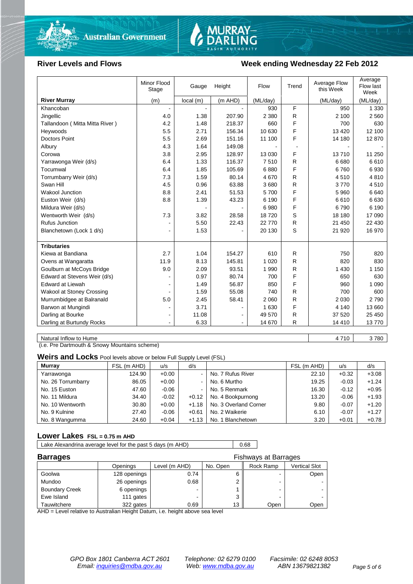



#### River Levels and Flows **Week ending Wednesday 22 Feb 2012**

| (m AHD)<br><b>River Murray</b><br>(m)<br>local(m)<br>(ML/day)<br>(ML/day)<br>(ML/day)<br>F<br>Khancoban<br>950<br>1 3 3 0<br>930<br>R<br>4.0<br>1.38<br>207.90<br>2 3 8 0<br>2 100<br>2 5 6 0<br>Jingellic<br>F<br>4.2<br>1.48<br>218.37<br>660<br>630<br>Tallandoon (Mitta Mitta River)<br>700<br>F<br>5.5<br>2.71<br>156.34<br>10 630<br>13 4 20<br>12 100<br>Heywoods<br>F<br>Doctors Point<br>5.5<br>151.16<br>12 870<br>2.69<br>11 100<br>14 180<br>4.3<br>1.64<br>149.08<br>Albury<br>F<br>3.8<br>2.95<br>128.97<br>13 030<br>13710<br>11 250<br>Corowa<br>$\mathsf{R}$<br>1.33<br>116.37<br>7510<br>6 6 8 0<br>6610<br>Yarrawonga Weir (d/s)<br>6.4<br>F<br>105.69<br>6880<br>6930<br>Tocumwal<br>6.4<br>1.85<br>6760<br>1.59<br>80.14<br>R<br>4810<br>Torrumbarry Weir (d/s)<br>7.3<br>4670<br>4510<br>4.5<br>0.96<br>63.88<br>3680<br>R<br>4510<br>Swan Hill<br>3770<br>F<br><b>Wakool Junction</b><br>8.8<br>2.41<br>51.53<br>5700<br>6640<br>5 9 6 0<br>F<br>6630<br>Euston Weir (d/s)<br>8.8<br>1.39<br>43.23<br>6 190<br>6610 |
|--------------------------------------------------------------------------------------------------------------------------------------------------------------------------------------------------------------------------------------------------------------------------------------------------------------------------------------------------------------------------------------------------------------------------------------------------------------------------------------------------------------------------------------------------------------------------------------------------------------------------------------------------------------------------------------------------------------------------------------------------------------------------------------------------------------------------------------------------------------------------------------------------------------------------------------------------------------------------------------------------------------------------------------------|
|                                                                                                                                                                                                                                                                                                                                                                                                                                                                                                                                                                                                                                                                                                                                                                                                                                                                                                                                                                                                                                            |
|                                                                                                                                                                                                                                                                                                                                                                                                                                                                                                                                                                                                                                                                                                                                                                                                                                                                                                                                                                                                                                            |
|                                                                                                                                                                                                                                                                                                                                                                                                                                                                                                                                                                                                                                                                                                                                                                                                                                                                                                                                                                                                                                            |
|                                                                                                                                                                                                                                                                                                                                                                                                                                                                                                                                                                                                                                                                                                                                                                                                                                                                                                                                                                                                                                            |
|                                                                                                                                                                                                                                                                                                                                                                                                                                                                                                                                                                                                                                                                                                                                                                                                                                                                                                                                                                                                                                            |
|                                                                                                                                                                                                                                                                                                                                                                                                                                                                                                                                                                                                                                                                                                                                                                                                                                                                                                                                                                                                                                            |
|                                                                                                                                                                                                                                                                                                                                                                                                                                                                                                                                                                                                                                                                                                                                                                                                                                                                                                                                                                                                                                            |
|                                                                                                                                                                                                                                                                                                                                                                                                                                                                                                                                                                                                                                                                                                                                                                                                                                                                                                                                                                                                                                            |
|                                                                                                                                                                                                                                                                                                                                                                                                                                                                                                                                                                                                                                                                                                                                                                                                                                                                                                                                                                                                                                            |
|                                                                                                                                                                                                                                                                                                                                                                                                                                                                                                                                                                                                                                                                                                                                                                                                                                                                                                                                                                                                                                            |
|                                                                                                                                                                                                                                                                                                                                                                                                                                                                                                                                                                                                                                                                                                                                                                                                                                                                                                                                                                                                                                            |
|                                                                                                                                                                                                                                                                                                                                                                                                                                                                                                                                                                                                                                                                                                                                                                                                                                                                                                                                                                                                                                            |
|                                                                                                                                                                                                                                                                                                                                                                                                                                                                                                                                                                                                                                                                                                                                                                                                                                                                                                                                                                                                                                            |
|                                                                                                                                                                                                                                                                                                                                                                                                                                                                                                                                                                                                                                                                                                                                                                                                                                                                                                                                                                                                                                            |
| F<br>Mildura Weir (d/s)<br>6980<br>6790<br>6 190                                                                                                                                                                                                                                                                                                                                                                                                                                                                                                                                                                                                                                                                                                                                                                                                                                                                                                                                                                                           |
| S<br>7.3<br>3.82<br>28.58<br>18720<br>18 180<br>17 090<br>Wentworth Weir (d/s)                                                                                                                                                                                                                                                                                                                                                                                                                                                                                                                                                                                                                                                                                                                                                                                                                                                                                                                                                             |
| <b>Rufus Junction</b><br>5.50<br>R<br>22.43<br>22 770<br>21 450<br>22 430                                                                                                                                                                                                                                                                                                                                                                                                                                                                                                                                                                                                                                                                                                                                                                                                                                                                                                                                                                  |
| S<br>1.53<br>Blanchetown (Lock 1 d/s)<br>20 130<br>21 9 20<br>16 970<br>۰                                                                                                                                                                                                                                                                                                                                                                                                                                                                                                                                                                                                                                                                                                                                                                                                                                                                                                                                                                  |
| <b>Tributaries</b>                                                                                                                                                                                                                                                                                                                                                                                                                                                                                                                                                                                                                                                                                                                                                                                                                                                                                                                                                                                                                         |
| Kiewa at Bandiana<br>2.7<br>1.04<br>154.27<br>R<br>610<br>750<br>820                                                                                                                                                                                                                                                                                                                                                                                                                                                                                                                                                                                                                                                                                                                                                                                                                                                                                                                                                                       |
| 1 0 2 0<br>R<br>Ovens at Wangaratta<br>11.9<br>8.13<br>145.81<br>820<br>830                                                                                                                                                                                                                                                                                                                                                                                                                                                                                                                                                                                                                                                                                                                                                                                                                                                                                                                                                                |
| R<br>Goulburn at McCoys Bridge<br>9.0<br>2.09<br>93.51<br>1 9 9 0<br>1 4 3 0<br>1 1 5 0                                                                                                                                                                                                                                                                                                                                                                                                                                                                                                                                                                                                                                                                                                                                                                                                                                                                                                                                                    |
| F<br>Edward at Stevens Weir (d/s)<br>0.97<br>80.74<br>700<br>630<br>650                                                                                                                                                                                                                                                                                                                                                                                                                                                                                                                                                                                                                                                                                                                                                                                                                                                                                                                                                                    |
| F<br>56.87<br><b>Edward at Liewah</b><br>1.49<br>850<br>960<br>1 0 9 0                                                                                                                                                                                                                                                                                                                                                                                                                                                                                                                                                                                                                                                                                                                                                                                                                                                                                                                                                                     |
| Wakool at Stoney Crossing<br>1.59<br>55.08<br>740<br>R<br>700<br>600                                                                                                                                                                                                                                                                                                                                                                                                                                                                                                                                                                                                                                                                                                                                                                                                                                                                                                                                                                       |
| 5.0<br>58.41<br>R<br>2 7 9 0<br>Murrumbidgee at Balranald<br>2.45<br>2 0 6 0<br>2 0 3 0                                                                                                                                                                                                                                                                                                                                                                                                                                                                                                                                                                                                                                                                                                                                                                                                                                                                                                                                                    |
| F<br>3.71<br>Barwon at Mungindi<br>1 6 3 0<br>4 1 4 0<br>13 660<br>۰                                                                                                                                                                                                                                                                                                                                                                                                                                                                                                                                                                                                                                                                                                                                                                                                                                                                                                                                                                       |
| Darling at Bourke<br>R<br>37 520<br>25 450<br>11.08<br>49 570<br>$\blacksquare$                                                                                                                                                                                                                                                                                                                                                                                                                                                                                                                                                                                                                                                                                                                                                                                                                                                                                                                                                            |
| R<br>Darling at Burtundy Rocks<br>6.33<br>14 670<br>14 4 10<br>13770                                                                                                                                                                                                                                                                                                                                                                                                                                                                                                                                                                                                                                                                                                                                                                                                                                                                                                                                                                       |

Natural Inflow to Hume 3 780

(i.e. Pre Dartmouth & Snowy Mountains scheme)

**Weirs and Locks** Pool levels above or below Full Supply Level (FSL)

| <b>Murray</b>      | FSL (m AHD) | u/s     | d/s            |                       | FSL (m AHD) | u/s     | d/s     |
|--------------------|-------------|---------|----------------|-----------------------|-------------|---------|---------|
| Yarrawonga         | 124.90      | $+0.00$ | $\blacksquare$ | No. 7 Rufus River     | 22.10       | $+0.32$ | $+3.08$ |
| No. 26 Torrumbarry | 86.05       | $+0.00$ | $\blacksquare$ | No. 6 Murtho          | 19.25       | $-0.03$ | $+1.24$ |
| No. 15 Euston      | 47.60       | $-0.06$ | $\sim$         | No. 5 Renmark         | 16.30       | $-0.12$ | $+0.95$ |
| No. 11 Mildura     | 34.40       | $-0.02$ | $+0.12$        | No. 4 Bookpurnong     | 13.20       | $-0.06$ | $+1.93$ |
| No. 10 Wentworth   | 30.80       | $+0.00$ | $+1.18$        | No. 3 Overland Corner | 9.80        | $-0.07$ | $+1.20$ |
| No. 9 Kulnine      | 27.40       | $-0.06$ | $+0.61$        | No. 2 Waikerie        | 6.10        | $-0.07$ | $+1.27$ |
| No. 8 Wangumma     | 24.60       | $+0.04$ | $+1.13$        | No. 1 Blanchetown     | 3.20        | $+0.01$ | $+0.78$ |

#### **Lower Lakes FSL = 0.75 m AHD**

Lake Alexandrina average level for the past 5 days (m AHD) 0.68

| <b>Barrages</b>       |              | <b>Fishways at Barrages</b> |          |           |               |  |  |
|-----------------------|--------------|-----------------------------|----------|-----------|---------------|--|--|
|                       | Openings     | Level (m AHD)               | No. Open | Rock Ramp | Vertical Slot |  |  |
| Goolwa                | 128 openings | 0.74                        |          | -         | Open          |  |  |
| Mundoo                | 26 openings  | 0.68                        |          | -         |               |  |  |
| <b>Boundary Creek</b> | 6 openings   | -                           |          | -         |               |  |  |
| Ewe Island            | 111 gates    |                             |          | -         |               |  |  |
| Tauwitchere           | 322 gates    | 0.69                        | 13       | Open      | Open          |  |  |

AHD = Level relative to Australian Height Datum, i.e. height above sea level